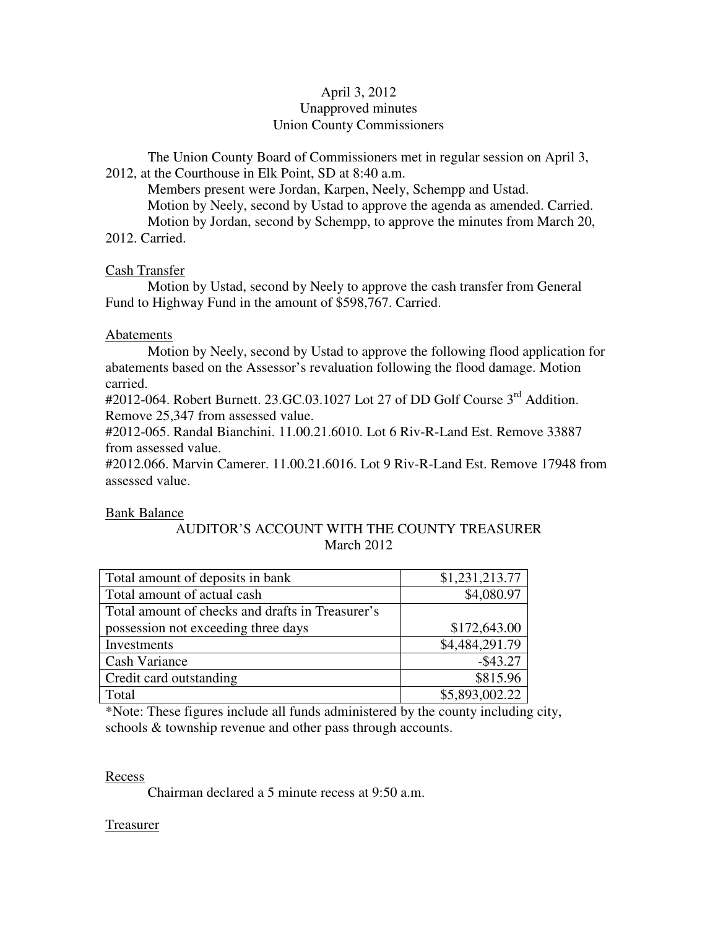# April 3, 2012 Unapproved minutes Union County Commissioners

The Union County Board of Commissioners met in regular session on April 3, 2012, at the Courthouse in Elk Point, SD at 8:40 a.m.

 Members present were Jordan, Karpen, Neely, Schempp and Ustad. Motion by Neely, second by Ustad to approve the agenda as amended. Carried. Motion by Jordan, second by Schempp, to approve the minutes from March 20, 2012. Carried.

### Cash Transfer

 Motion by Ustad, second by Neely to approve the cash transfer from General Fund to Highway Fund in the amount of \$598,767. Carried.

# Abatements

 Motion by Neely, second by Ustad to approve the following flood application for abatements based on the Assessor's revaluation following the flood damage. Motion carried.

#2012-064. Robert Burnett. 23.GC.03.1027 Lot 27 of DD Golf Course 3<sup>rd</sup> Addition. Remove 25,347 from assessed value.

#2012-065. Randal Bianchini. 11.00.21.6010. Lot 6 Riv-R-Land Est. Remove 33887 from assessed value.

#2012.066. Marvin Camerer. 11.00.21.6016. Lot 9 Riv-R-Land Est. Remove 17948 from assessed value.

# Bank Balance

# AUDITOR'S ACCOUNT WITH THE COUNTY TREASURER March 2012

| Total amount of deposits in bank                 | \$1,231,213.77 |
|--------------------------------------------------|----------------|
| Total amount of actual cash                      | \$4,080.97     |
| Total amount of checks and drafts in Treasurer's |                |
| possession not exceeding three days              | \$172,643.00   |
| Investments                                      | \$4,484,291.79 |
| <b>Cash Variance</b>                             | $-$ \$43.27    |
| Credit card outstanding                          | \$815.96       |
| Total                                            | \$5,893,002.22 |

\*Note: These figures include all funds administered by the county including city, schools & township revenue and other pass through accounts.

### Recess

Chairman declared a 5 minute recess at 9:50 a.m.

### Treasurer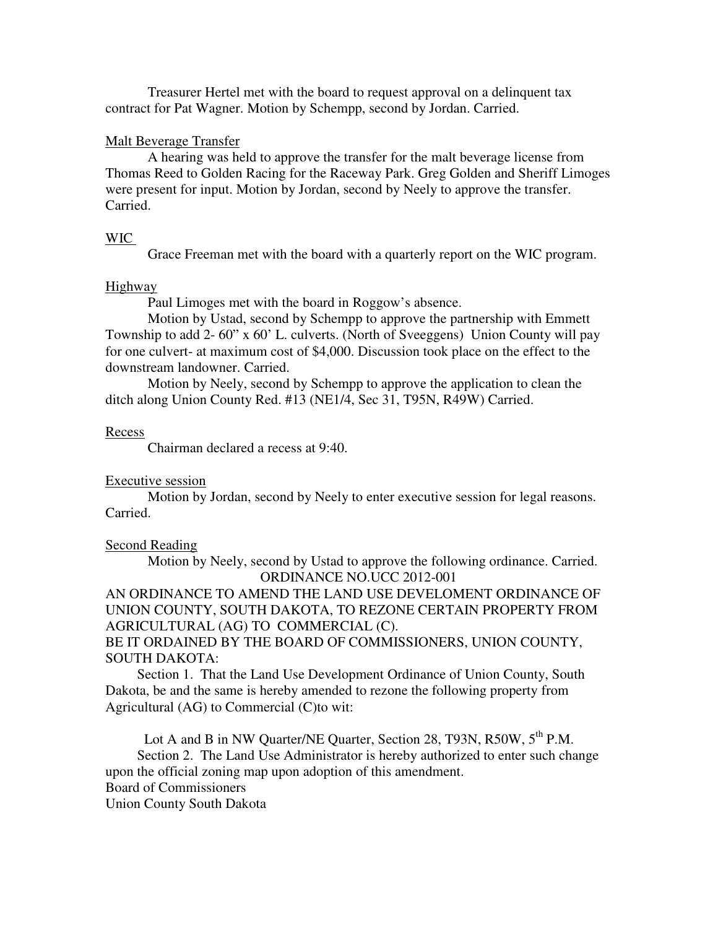Treasurer Hertel met with the board to request approval on a delinquent tax contract for Pat Wagner. Motion by Schempp, second by Jordan. Carried.

#### Malt Beverage Transfer

 A hearing was held to approve the transfer for the malt beverage license from Thomas Reed to Golden Racing for the Raceway Park. Greg Golden and Sheriff Limoges were present for input. Motion by Jordan, second by Neely to approve the transfer. Carried.

#### WIC

Grace Freeman met with the board with a quarterly report on the WIC program.

#### Highway

Paul Limoges met with the board in Roggow's absence.

 Motion by Ustad, second by Schempp to approve the partnership with Emmett Township to add 2- 60" x 60' L. culverts. (North of Sveeggens) Union County will pay for one culvert- at maximum cost of \$4,000. Discussion took place on the effect to the downstream landowner. Carried.

 Motion by Neely, second by Schempp to approve the application to clean the ditch along Union County Red. #13 (NE1/4, Sec 31, T95N, R49W) Carried.

#### Recess

Chairman declared a recess at 9:40.

#### Executive session

 Motion by Jordan, second by Neely to enter executive session for legal reasons. Carried.

#### Second Reading

 Motion by Neely, second by Ustad to approve the following ordinance. Carried. ORDINANCE NO.UCC 2012-001

AN ORDINANCE TO AMEND THE LAND USE DEVELOMENT ORDINANCE OF UNION COUNTY, SOUTH DAKOTA, TO REZONE CERTAIN PROPERTY FROM AGRICULTURAL (AG) TO COMMERCIAL (C).

BE IT ORDAINED BY THE BOARD OF COMMISSIONERS, UNION COUNTY, SOUTH DAKOTA:

 Section 1. That the Land Use Development Ordinance of Union County, South Dakota, be and the same is hereby amended to rezone the following property from Agricultural (AG) to Commercial (C)to wit:

Lot A and B in NW Quarter/NE Quarter, Section 28, T93N, R50W, 5<sup>th</sup> P.M.

 Section 2. The Land Use Administrator is hereby authorized to enter such change upon the official zoning map upon adoption of this amendment.

# Board of Commissioners

Union County South Dakota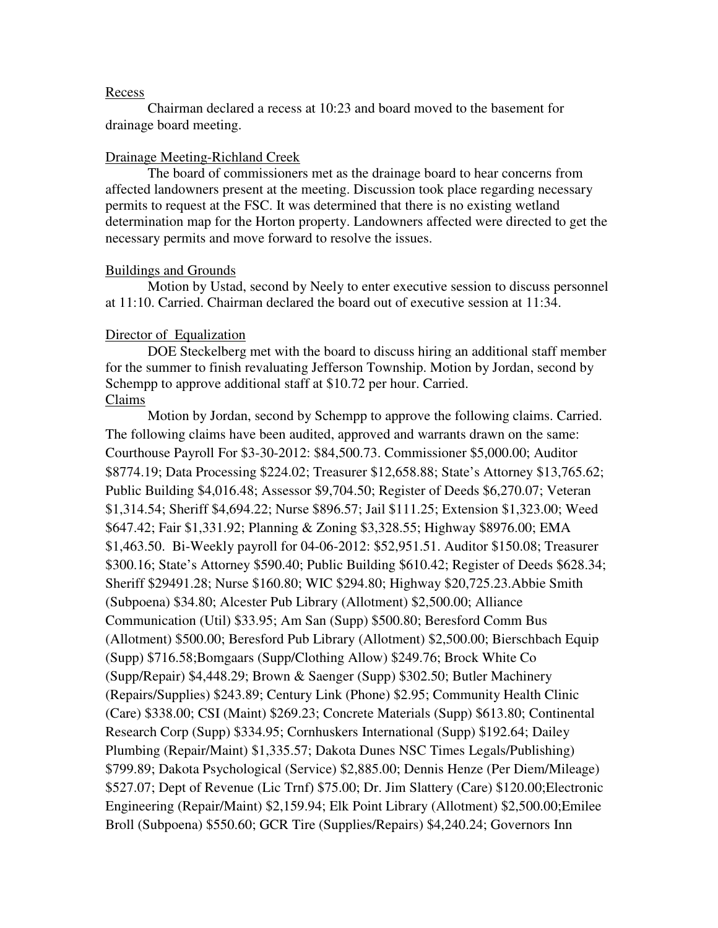#### Recess

 Chairman declared a recess at 10:23 and board moved to the basement for drainage board meeting.

### Drainage Meeting-Richland Creek

 The board of commissioners met as the drainage board to hear concerns from affected landowners present at the meeting. Discussion took place regarding necessary permits to request at the FSC. It was determined that there is no existing wetland determination map for the Horton property. Landowners affected were directed to get the necessary permits and move forward to resolve the issues.

### Buildings and Grounds

 Motion by Ustad, second by Neely to enter executive session to discuss personnel at 11:10. Carried. Chairman declared the board out of executive session at 11:34.

### Director of Equalization

 DOE Steckelberg met with the board to discuss hiring an additional staff member for the summer to finish revaluating Jefferson Township. Motion by Jordan, second by Schempp to approve additional staff at \$10.72 per hour. Carried. Claims

 Motion by Jordan, second by Schempp to approve the following claims. Carried. The following claims have been audited, approved and warrants drawn on the same: Courthouse Payroll For \$3-30-2012: \$84,500.73. Commissioner \$5,000.00; Auditor \$8774.19; Data Processing \$224.02; Treasurer \$12,658.88; State's Attorney \$13,765.62; Public Building \$4,016.48; Assessor \$9,704.50; Register of Deeds \$6,270.07; Veteran \$1,314.54; Sheriff \$4,694.22; Nurse \$896.57; Jail \$111.25; Extension \$1,323.00; Weed \$647.42; Fair \$1,331.92; Planning & Zoning \$3,328.55; Highway \$8976.00; EMA \$1,463.50. Bi-Weekly payroll for 04-06-2012: \$52,951.51. Auditor \$150.08; Treasurer \$300.16; State's Attorney \$590.40; Public Building \$610.42; Register of Deeds \$628.34; Sheriff \$29491.28; Nurse \$160.80; WIC \$294.80; Highway \$20,725.23.Abbie Smith (Subpoena) \$34.80; Alcester Pub Library (Allotment) \$2,500.00; Alliance Communication (Util) \$33.95; Am San (Supp) \$500.80; Beresford Comm Bus (Allotment) \$500.00; Beresford Pub Library (Allotment) \$2,500.00; Bierschbach Equip (Supp) \$716.58;Bomgaars (Supp/Clothing Allow) \$249.76; Brock White Co (Supp/Repair) \$4,448.29; Brown & Saenger (Supp) \$302.50; Butler Machinery (Repairs/Supplies) \$243.89; Century Link (Phone) \$2.95; Community Health Clinic (Care) \$338.00; CSI (Maint) \$269.23; Concrete Materials (Supp) \$613.80; Continental Research Corp (Supp) \$334.95; Cornhuskers International (Supp) \$192.64; Dailey Plumbing (Repair/Maint) \$1,335.57; Dakota Dunes NSC Times Legals/Publishing) \$799.89; Dakota Psychological (Service) \$2,885.00; Dennis Henze (Per Diem/Mileage) \$527.07; Dept of Revenue (Lic Trnf) \$75.00; Dr. Jim Slattery (Care) \$120.00;Electronic Engineering (Repair/Maint) \$2,159.94; Elk Point Library (Allotment) \$2,500.00;Emilee Broll (Subpoena) \$550.60; GCR Tire (Supplies/Repairs) \$4,240.24; Governors Inn